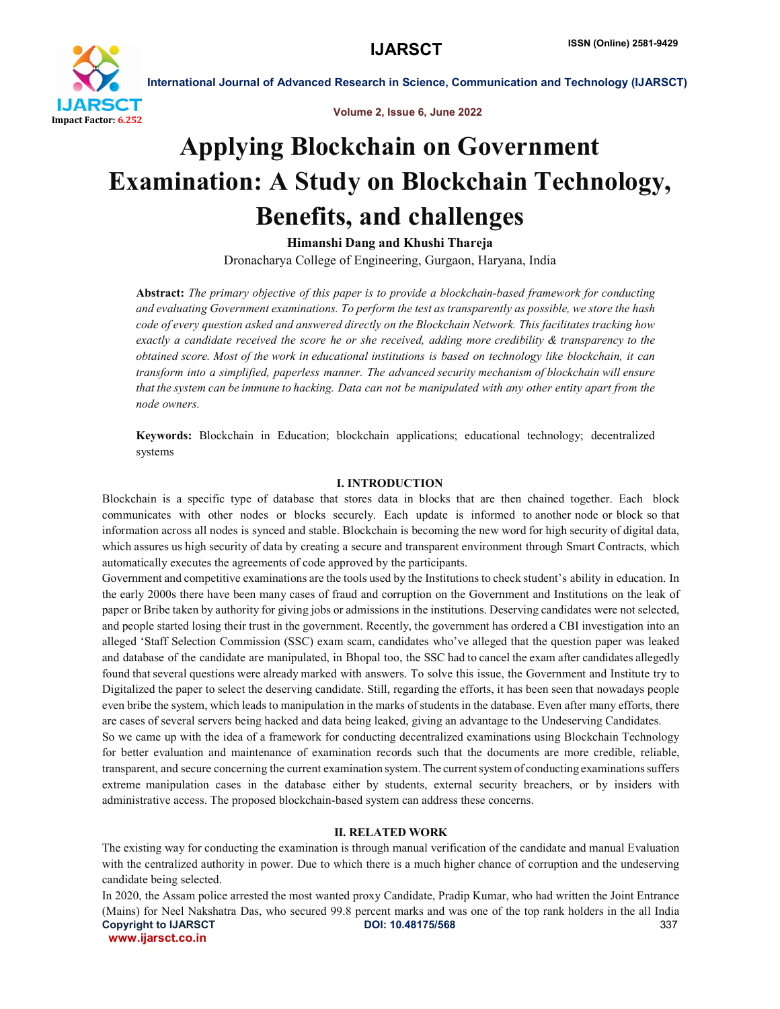

Volume 2, Issue 6, June 2022

# Applying Blockchain on Government Examination: A Study on Blockchain Technology, Benefits, and challenges

Himanshi Dang and Khushi Thareja

Dronacharya College of Engineering, Gurgaon, Haryana, India

Abstract: *The primary objective of this paper is to provide a blockchain-based framework for conducting and evaluating Government examinations. To perform the test as transparently as possible, we store the hash code of every question asked and answered directly on the Blockchain Network. This facilitates tracking how exactly a candidate received the score he or she received, adding more credibility & transparency to the obtained score. Most of the work in educational institutions is based on technology like blockchain, it can transform into a simplified, paperless manner. The advanced security mechanism of blockchain will ensure that the system can be immune to hacking. Data can not be manipulated with any other entity apart from the node owners.*

Keywords: Blockchain in Education; blockchain applications; educational technology; decentralized systems

#### I. INTRODUCTION

Blockchain is a specific type of database that stores data in blocks that are then chained together. Each block communicates with other nodes or blocks securely. Each update is informed to another node or block so that information across all nodes is synced and stable. Blockchain is becoming the new word for high security of digital data, which assures us high security of data by creating a secure and transparent environment through Smart Contracts, which automatically executes the agreements of code approved by the participants.

Government and competitive examinations are the tools used by the Institutions to check student's ability in education. In the early 2000s there have been many cases of fraud and corruption on the Government and Institutions on the leak of paper or Bribe taken by authority for giving jobs or admissions in the institutions. Deserving candidates were not selected, and people started losing their trust in the government. Recently, the government has ordered a CBI investigation into an alleged 'Staff Selection Commission (SSC) exam scam, candidates who've alleged that the question paper was leaked and database of the candidate are manipulated, in Bhopal too, the SSC had to cancel the exam after candidates allegedly found that several questions were already marked with answers. To solve this issue, the Government and Institute try to Digitalized the paper to select the deserving candidate. Still, regarding the efforts, it has been seen that nowadays people even bribe the system, which leads to manipulation in the marks of students in the database. Even after many efforts, there are cases of several servers being hacked and data being leaked, giving an advantage to the Undeserving Candidates.

So we came up with the idea of a framework for conducting decentralized examinations using Blockchain Technology for better evaluation and maintenance of examination records such that the documents are more credible, reliable, transparent, and secure concerning the current examination system.The currentsystem of conducting examinationssuffers extreme manipulation cases in the database either by students, external security breachers, or by insiders with administrative access. The proposed blockchain-based system can address these concerns.

#### II. RELATED WORK

The existing way for conducting the examination is through manual verification of the candidate and manual Evaluation with the centralized authority in power. Due to which there is a much higher chance of corruption and the undeserving candidate being selected.

Copyright to IJARSCT DOI: 10.48175/568 **DOI: 10.48175/568** 337 www.ijarsct.co.in In 2020, the Assam police arrested the most wanted proxy Candidate, Pradip Kumar, who had written the Joint Entrance (Mains) for Neel Nakshatra Das, who secured 99.8 percent marks and was one of the top rank holders in the all India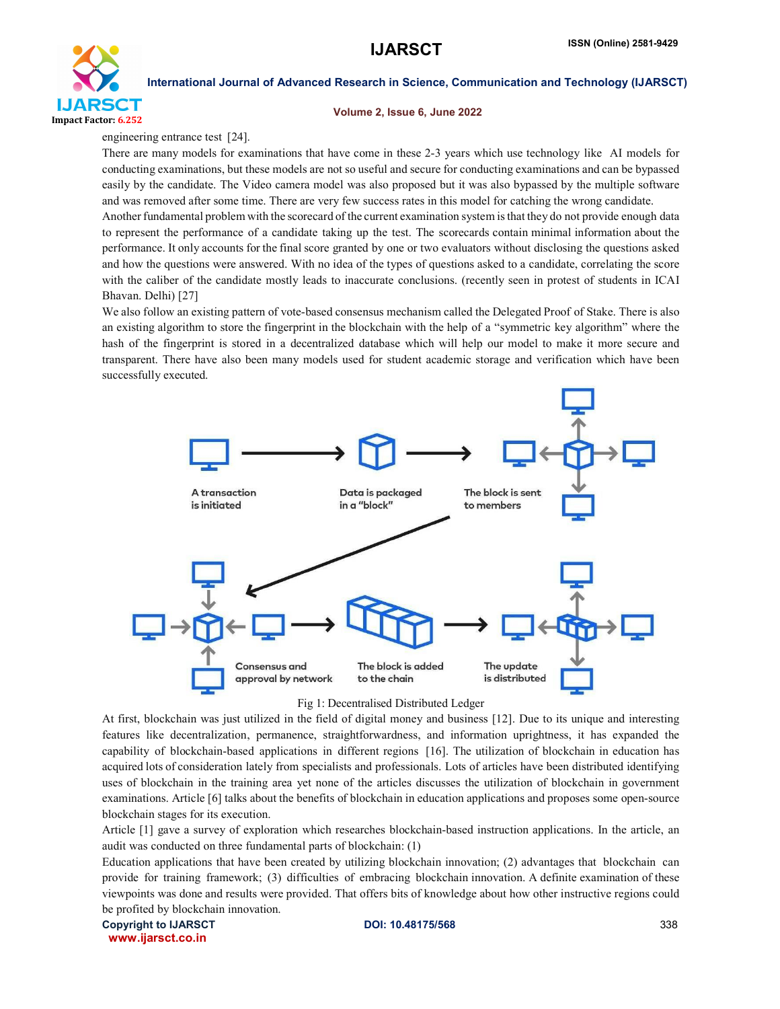

#### Volume 2, Issue 6, June 2022

engineering entrance test [24].

There are many models for examinations that have come in these 2-3 years which use technology like AI models for conducting examinations, but these models are not so useful and secure for conducting examinations and can be bypassed easily by the candidate. The Video camera model was also proposed but it was also bypassed by the multiple software and was removed after some time. There are very few success rates in this model for catching the wrong candidate.

Another fundamental problem with the scorecard of the current examination system is that they do not provide enough data to represent the performance of a candidate taking up the test. The scorecards contain minimal information about the performance. It only accounts for the final score granted by one or two evaluators without disclosing the questions asked and how the questions were answered. With no idea of the types of questions asked to a candidate, correlating the score with the caliber of the candidate mostly leads to inaccurate conclusions. (recently seen in protest of students in ICAI Bhavan. Delhi) [27]

We also follow an existing pattern of vote-based consensus mechanism called the Delegated Proof of Stake. There is also an existing algorithm to store the fingerprint in the blockchain with the help of a "symmetric key algorithm" where the hash of the fingerprint is stored in a decentralized database which will help our model to make it more secure and transparent. There have also been many models used for student academic storage and verification which have been successfully executed.



#### Fig 1: Decentralised Distributed Ledger

At first, blockchain was just utilized in the field of digital money and business [12]. Due to its unique and interesting features like decentralization, permanence, straightforwardness, and information uprightness, it has expanded the capability of blockchain-based applications in different regions [16]. The utilization of blockchain in education has acquired lots of consideration lately from specialists and professionals. Lots of articles have been distributed identifying uses of blockchain in the training area yet none of the articles discusses the utilization of blockchain in government examinations. Article [6] talks about the benefits of blockchain in education applications and proposes some open-source blockchain stages for its execution.

Article [1] gave a survey of exploration which researches blockchain-based instruction applications. In the article, an audit was conducted on three fundamental parts of blockchain: (1)

Education applications that have been created by utilizing blockchain innovation; (2) advantages that blockchain can provide for training framework; (3) difficulties of embracing blockchain innovation. A definite examination of these viewpoints was done and results were provided. That offers bits of knowledge about how other instructive regions could be profited by blockchain innovation.

Copyright to IJARSCT **DOI: 10.48175/568** 338 www.ijarsct.co.in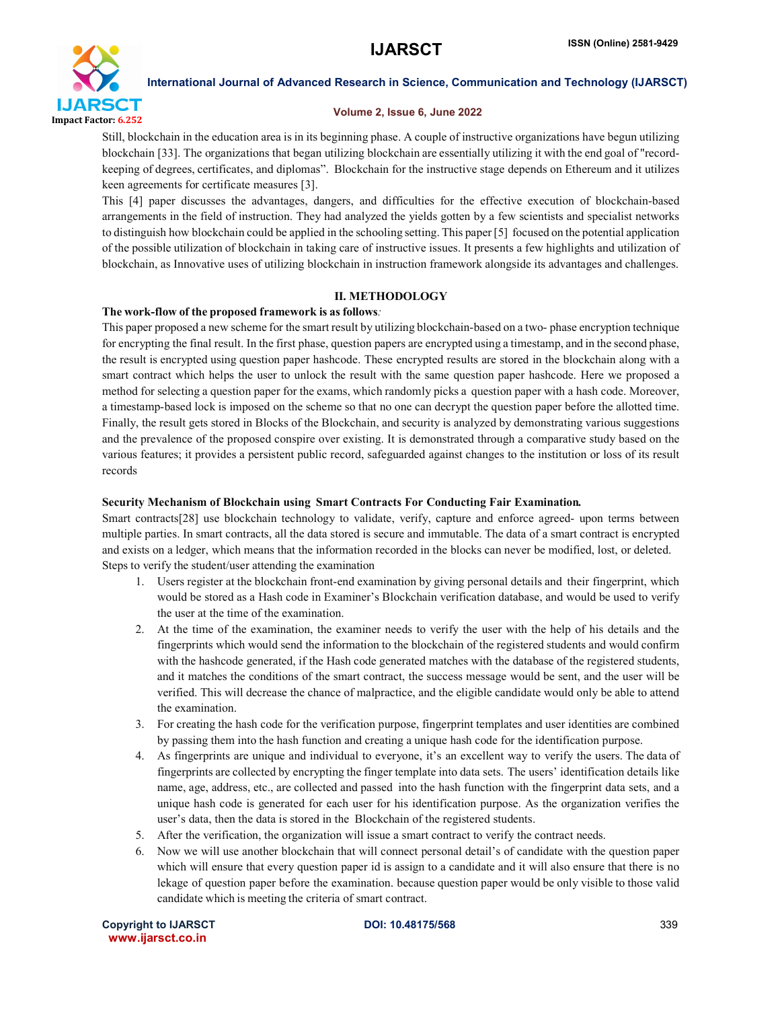

#### Volume 2, Issue 6, June 2022

Still, blockchain in the education area is in its beginning phase. A couple of instructive organizations have begun utilizing blockchain [33]. The organizations that began utilizing blockchain are essentially utilizing it with the end goal of "recordkeeping of degrees, certificates, and diplomas". Blockchain for the instructive stage depends on Ethereum and it utilizes keen agreements for certificate measures [3].

This [4] paper discusses the advantages, dangers, and difficulties for the effective execution of blockchain-based arrangements in the field of instruction. They had analyzed the yields gotten by a few scientists and specialist networks to distinguish how blockchain could be applied in the schooling setting. This paper [5] focused on the potential application of the possible utilization of blockchain in taking care of instructive issues. It presents a few highlights and utilization of blockchain, as Innovative uses of utilizing blockchain in instruction framework alongside its advantages and challenges.

#### II. METHODOLOGY

#### The work-flow of the proposed framework is as follows*:*

This paper proposed a new scheme for the smart result by utilizing blockchain-based on a two- phase encryption technique for encrypting the final result. In the first phase, question papers are encrypted using a timestamp, and in the second phase, the result is encrypted using question paper hashcode. These encrypted results are stored in the blockchain along with a smart contract which helps the user to unlock the result with the same question paper hashcode. Here we proposed a method for selecting a question paper for the exams, which randomly picks a question paper with a hash code. Moreover, a timestamp-based lock is imposed on the scheme so that no one can decrypt the question paper before the allotted time. Finally, the result gets stored in Blocks of the Blockchain, and security is analyzed by demonstrating various suggestions and the prevalence of the proposed conspire over existing. It is demonstrated through a comparative study based on the various features; it provides a persistent public record, safeguarded against changes to the institution or loss of its result records

#### Security Mechanism of Blockchain using Smart Contracts For Conducting Fair Examination*.*

Smart contracts[28] use blockchain technology to validate, verify, capture and enforce agreed- upon terms between multiple parties. In smart contracts, all the data stored is secure and immutable. The data of a smart contract is encrypted and exists on a ledger, which means that the information recorded in the blocks can never be modified, lost, or deleted. Steps to verify the student/user attending the examination

- 1. Users register at the blockchain front-end examination by giving personal details and their fingerprint, which would be stored as a Hash code in Examiner's Blockchain verification database, and would be used to verify the user at the time of the examination.
- 2. At the time of the examination, the examiner needs to verify the user with the help of his details and the fingerprints which would send the information to the blockchain of the registered students and would confirm with the hashcode generated, if the Hash code generated matches with the database of the registered students, and it matches the conditions of the smart contract, the success message would be sent, and the user will be verified. This will decrease the chance of malpractice, and the eligible candidate would only be able to attend the examination.
- 3. For creating the hash code for the verification purpose, fingerprint templates and user identities are combined by passing them into the hash function and creating a unique hash code for the identification purpose.
- 4. As fingerprints are unique and individual to everyone, it's an excellent way to verify the users. The data of fingerprints are collected by encrypting the finger template into data sets. The users' identification details like name, age, address, etc., are collected and passed into the hash function with the fingerprint data sets, and a unique hash code is generated for each user for his identification purpose. As the organization verifies the user's data, then the data is stored in the Blockchain of the registered students.
- 5. After the verification, the organization will issue a smart contract to verify the contract needs.
- 6. Now we will use another blockchain that will connect personal detail's of candidate with the question paper which will ensure that every question paper id is assign to a candidate and it will also ensure that there is no lekage of question paper before the examination. because question paper would be only visible to those valid candidate which is meeting the criteria of smart contract.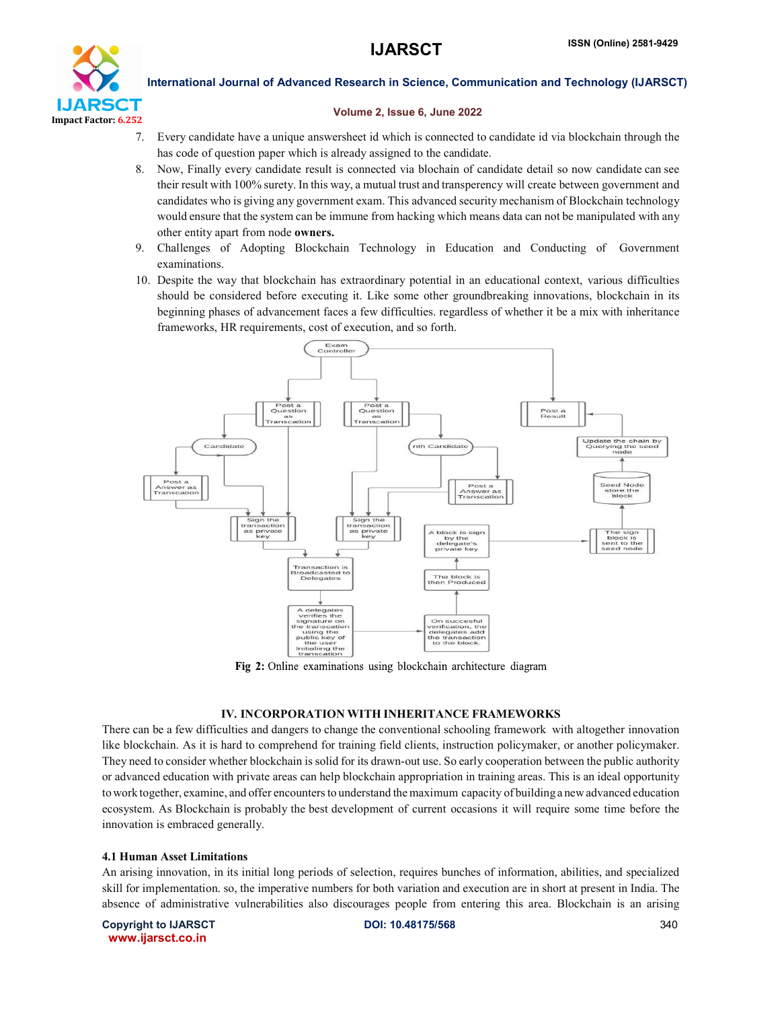

#### Volume 2, Issue 6, June 2022

- 7. Every candidate have a unique answersheet id which is connected to candidate id via blockchain through the has code of question paper which is already assigned to the candidate.
- 8. Now, Finally every candidate result is connected via blochain of candidate detail so now candidate can see their result with 100% surety. In this way, a mutual trust and transperency will create between government and candidates who is giving any government exam. This advanced security mechanism of Blockchain technology would ensure that the system can be immune from hacking which means data can not be manipulated with any other entity apart from node owners.
- 9. Challenges of Adopting Blockchain Technology in Education and Conducting of Government examinations.
- 10. Despite the way that blockchain has extraordinary potential in an educational context, various difficulties should be considered before executing it. Like some other groundbreaking innovations, blockchain in its beginning phases of advancement faces a few difficulties. regardless of whether it be a mix with inheritance frameworks, HR requirements, cost of execution, and so forth.



Fig 2: Online examinations using blockchain architecture diagram

### IV. INCORPORATION WITH INHERITANCE FRAMEWORKS

There can be a few difficulties and dangers to change the conventional schooling framework with altogether innovation like blockchain. As it is hard to comprehend for training field clients, instruction policymaker, or another policymaker. They need to consider whether blockchain is solid for its drawn-out use. So early cooperation between the public authority or advanced education with private areas can help blockchain appropriation in training areas. This is an ideal opportunity towork together, examine, and offer encountersto understand themaximum capacity of building a newadvanced education ecosystem. As Blockchain is probably the best development of current occasions it will require some time before the innovation is embraced generally.

#### 4.1 Human Asset Limitations

An arising innovation, in its initial long periods of selection, requires bunches of information, abilities, and specialized skill for implementation. so, the imperative numbers for both variation and execution are in short at present in India. The absence of administrative vulnerabilities also discourages people from entering this area. Blockchain is an arising

Copyright to IJARSCT **DOI: 10.48175/568** 340 www.ijarsct.co.in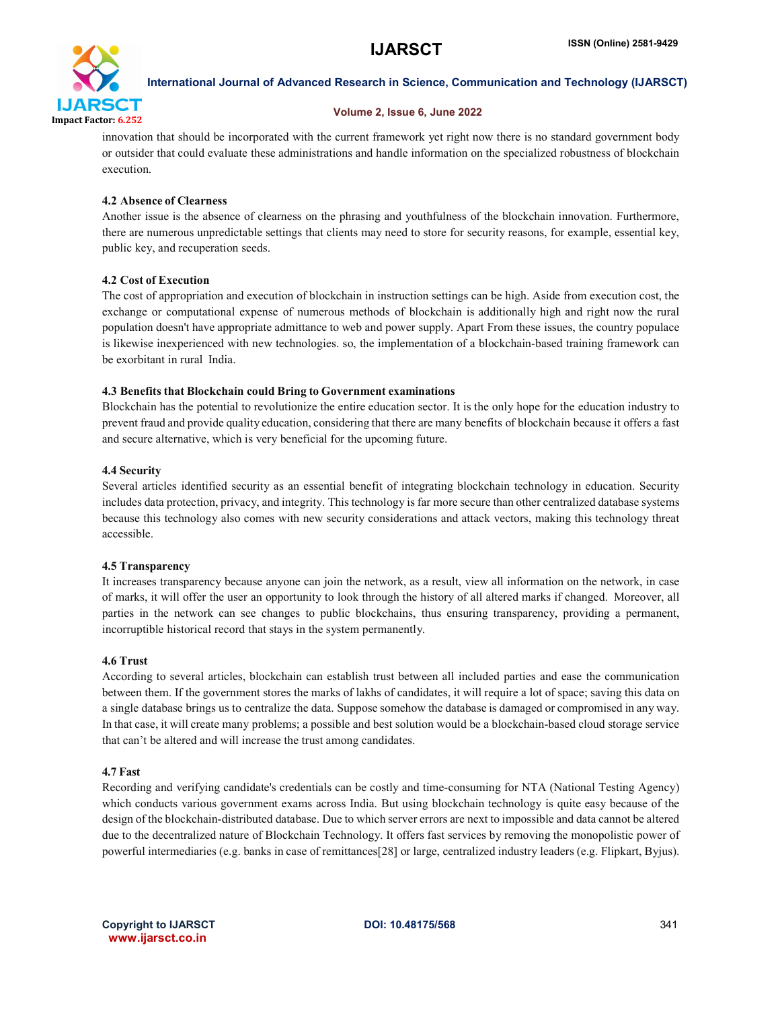

#### Volume 2, Issue 6, June 2022

innovation that should be incorporated with the current framework yet right now there is no standard government body or outsider that could evaluate these administrations and handle information on the specialized robustness of blockchain execution.

#### 4.2 Absence of Clearness

Another issue is the absence of clearness on the phrasing and youthfulness of the blockchain innovation. Furthermore, there are numerous unpredictable settings that clients may need to store for security reasons, for example, essential key, public key, and recuperation seeds.

### 4.2 Cost of Execution

The cost of appropriation and execution of blockchain in instruction settings can be high. Aside from execution cost, the exchange or computational expense of numerous methods of blockchain is additionally high and right now the rural population doesn't have appropriate admittance to web and power supply. Apart From these issues, the country populace is likewise inexperienced with new technologies. so, the implementation of a blockchain-based training framework can be exorbitant in rural India.

#### 4.3 Benefits that Blockchain could Bring to Government examinations

Blockchain has the potential to revolutionize the entire education sector. It is the only hope for the education industry to prevent fraud and provide quality education, considering that there are many benefits of blockchain because it offers a fast and secure alternative, which is very beneficial for the upcoming future.

#### 4.4 Security

Several articles identified security as an essential benefit of integrating blockchain technology in education. Security includes data protection, privacy, and integrity. This technology is far more secure than other centralized database systems because this technology also comes with new security considerations and attack vectors, making this technology threat accessible.

### 4.5 Transparency

It increases transparency because anyone can join the network, as a result, view all information on the network, in case of marks, it will offer the user an opportunity to look through the history of all altered marks if changed. Moreover, all parties in the network can see changes to public blockchains, thus ensuring transparency, providing a permanent, incorruptible historical record that stays in the system permanently.

#### 4.6 Trust

According to several articles, blockchain can establish trust between all included parties and ease the communication between them. If the government stores the marks of lakhs of candidates, it will require a lot of space; saving this data on a single database brings us to centralize the data. Suppose somehow the database is damaged or compromised in any way. In that case, it will create many problems; a possible and best solution would be a blockchain-based cloud storage service that can't be altered and will increase the trust among candidates.

#### 4.7 Fast

Recording and verifying candidate's credentials can be costly and time-consuming for NTA (National Testing Agency) which conducts various government exams across India. But using blockchain technology is quite easy because of the design of the blockchain-distributed database. Due to which server errors are next to impossible and data cannot be altered due to the decentralized nature of Blockchain Technology. It offers fast services by removing the monopolistic power of powerful intermediaries (e.g. banks in case of remittances[28] or large, centralized industry leaders (e.g. Flipkart, Byjus).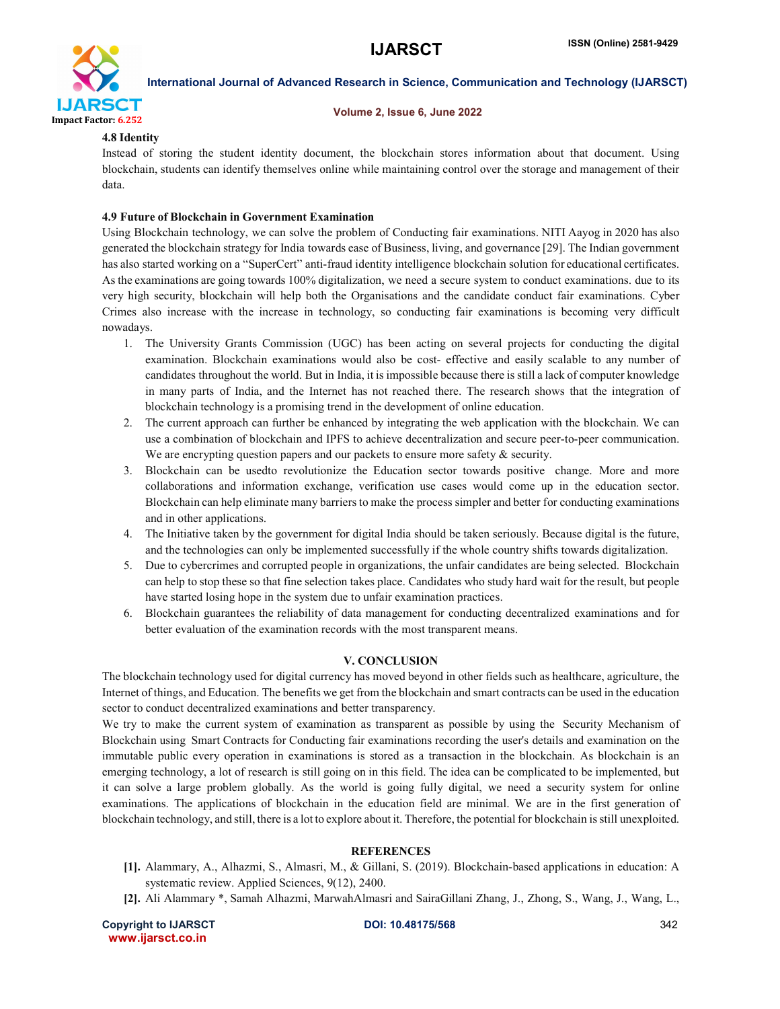

#### Volume 2, Issue 6, June 2022

#### 4.8 Identity

Instead of storing the student identity document, the blockchain stores information about that document. Using blockchain, students can identify themselves online while maintaining control over the storage and management of their data.

#### 4.9 Future of Blockchain in Government Examination

Using Blockchain technology, we can solve the problem of Conducting fair examinations. NITI Aayog in 2020 has also generated the blockchain strategy for India towards ease of Business, living, and governance [29]. The Indian government has also started working on a "SuperCert" anti-fraud identity intelligence blockchain solution for educational certificates. As the examinations are going towards 100% digitalization, we need a secure system to conduct examinations. due to its very high security, blockchain will help both the Organisations and the candidate conduct fair examinations. Cyber Crimes also increase with the increase in technology, so conducting fair examinations is becoming very difficult nowadays.

- 1. The University Grants Commission (UGC) has been acting on several projects for conducting the digital examination. Blockchain examinations would also be cost- effective and easily scalable to any number of candidates throughout the world. But in India, it is impossible because there is still a lack of computer knowledge in many parts of India, and the Internet has not reached there. The research shows that the integration of blockchain technology is a promising trend in the development of online education.
- 2. The current approach can further be enhanced by integrating the web application with the blockchain. We can use a combination of blockchain and IPFS to achieve decentralization and secure peer-to-peer communication. We are encrypting question papers and our packets to ensure more safety  $\&$  security.
- 3. Blockchain can be usedto revolutionize the Education sector towards positive change. More and more collaborations and information exchange, verification use cases would come up in the education sector. Blockchain can help eliminate many barriers to make the process simpler and better for conducting examinations and in other applications.
- 4. The Initiative taken by the government for digital India should be taken seriously. Because digital is the future, and the technologies can only be implemented successfully if the whole country shifts towards digitalization.
- 5. Due to cybercrimes and corrupted people in organizations, the unfair candidates are being selected. Blockchain can help to stop these so that fine selection takes place. Candidates who study hard wait for the result, but people have started losing hope in the system due to unfair examination practices.
- 6. Blockchain guarantees the reliability of data management for conducting decentralized examinations and for better evaluation of the examination records with the most transparent means.

### V. CONCLUSION

The blockchain technology used for digital currency has moved beyond in other fields such as healthcare, agriculture, the Internet of things, and Education. The benefits we get from the blockchain and smart contracts can be used in the education sector to conduct decentralized examinations and better transparency.

We try to make the current system of examination as transparent as possible by using the Security Mechanism of Blockchain using Smart Contracts for Conducting fair examinations recording the user's details and examination on the immutable public every operation in examinations is stored as a transaction in the blockchain. As blockchain is an emerging technology, a lot of research is still going on in this field. The idea can be complicated to be implemented, but it can solve a large problem globally. As the world is going fully digital, we need a security system for online examinations. The applications of blockchain in the education field are minimal. We are in the first generation of blockchain technology, and still, there is a lot to explore about it. Therefore, the potential for blockchain is still unexploited.

### **REFERENCES**

- [1]. Alammary, A., Alhazmi, S., Almasri, M., & Gillani, S. (2019). Blockchain-based applications in education: A systematic review. Applied Sciences, 9(12), 2400.
- [2]. Ali Alammary \*, Samah Alhazmi, MarwahAlmasri and SairaGillani Zhang, J., Zhong, S., Wang, J., Wang, L.,

Copyright to IJARSCT **DOI: 10.48175/568** 342 www.ijarsct.co.in